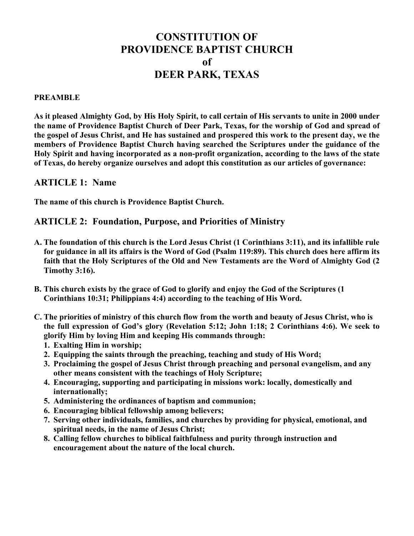# **CONSTITUTION OF PROVIDENCE BAPTIST CHURCH of DEER PARK, TEXAS**

#### **PREAMBLE**

**As it pleased Almighty God, by His Holy Spirit, to call certain of His servants to unite in 2000 under the name of Providence Baptist Church of Deer Park, Texas, for the worship of God and spread of the gospel of Jesus Christ, and He has sustained and prospered this work to the present day, we the members of Providence Baptist Church having searched the Scriptures under the guidance of the Holy Spirit and having incorporated as a non-profit organization, according to the laws of the state of Texas, do hereby organize ourselves and adopt this constitution as our articles of governance:**

# **ARTICLE 1: Name**

**The name of this church is Providence Baptist Church.**

# **ARTICLE 2: Foundation, Purpose, and Priorities of Ministry**

- **A. The foundation of this church is the Lord Jesus Christ (1 Corinthians 3:11), and its infallible rule for guidance in all its affairs is the Word of God (Psalm 119:89). This church does here affirm its faith that the Holy Scriptures of the Old and New Testaments are the Word of Almighty God (2 Timothy 3:16).**
- **B. This church exists by the grace of God to glorify and enjoy the God of the Scriptures (1 Corinthians 10:31; Philippians 4:4) according to the teaching of His Word.**
- **C. The priorities of ministry of this church flow from the worth and beauty of Jesus Christ, who is the full expression of God's glory (Revelation 5:12; John 1:18; 2 Corinthians 4:6). We seek to glorify Him by loving Him and keeping His commands through:**
	- **1. Exalting Him in worship;**
	- **2. Equipping the saints through the preaching, teaching and study of His Word;**
	- **3. Proclaiming the gospel of Jesus Christ through preaching and personal evangelism, and any other means consistent with the teachings of Holy Scripture;**
	- **4. Encouraging, supporting and participating in missions work: locally, domestically and internationally;**
	- **5. Administering the ordinances of baptism and communion;**
	- **6. Encouraging biblical fellowship among believers;**
	- **7. Serving other individuals, families, and churches by providing for physical, emotional, and spiritual needs, in the name of Jesus Christ;**
	- **8. Calling fellow churches to biblical faithfulness and purity through instruction and encouragement about the nature of the local church.**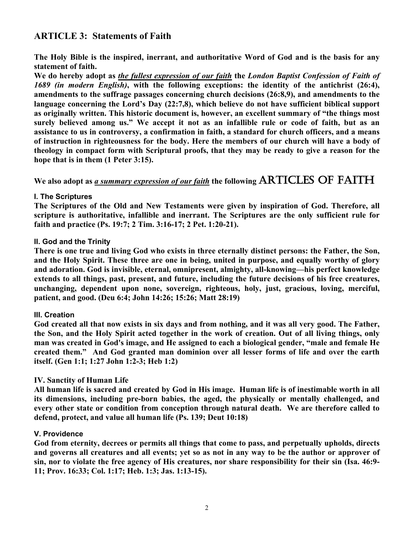# **ARTICLE 3: Statements of Faith**

**The Holy Bible is the inspired, inerrant, and authoritative Word of God and is the basis for any statement of faith.** 

**We do hereby adopt as** *the fullest expression of our faith* **the** *London Baptist Confession of Faith of 1689 (in modern English)***, with the following exceptions: the identity of the antichrist (26:4), amendments to the suffrage passages concerning church decisions (26:8,9), and amendments to the language concerning the Lord's Day (22:7,8), which believe do not have sufficient biblical support as originally written. This historic document is, however, an excellent summary of "the things most surely believed among us." We accept it not as an infallible rule or code of faith, but as an assistance to us in controversy, a confirmation in faith, a standard for church officers, and a means of instruction in righteousness for the body. Here the members of our church will have a body of theology in compact form with Scriptural proofs, that they may be ready to give a reason for the hope that is in them (1 Peter 3:15).**

# **We also adopt as** *a summary expression of our faith* **the following** ARTICLES OF FAITH

## **I. The Scriptures**

**The Scriptures of the Old and New Testaments were given by inspiration of God. Therefore, all scripture is authoritative, infallible and inerrant. The Scriptures are the only sufficient rule for faith and practice (Ps. 19:7; 2 Tim. 3:16-17; 2 Pet. 1:20-21).**

### **II. God and the Trinity**

**There is one true and living God who exists in three eternally distinct persons: the Father, the Son, and the Holy Spirit. These three are one in being, united in purpose, and equally worthy of glory and adoration. God is invisible, eternal, omnipresent, almighty, all-knowing—his perfect knowledge extends to all things, past, present, and future, including the future decisions of his free creatures, unchanging, dependent upon none, sovereign, righteous, holy, just, gracious, loving, merciful, patient, and good. (Deu 6:4; John 14:26; 15:26; Matt 28:19)**

### **III. Creation**

**God created all that now exists in six days and from nothing, and it was all very good. The Father, the Son, and the Holy Spirit acted together in the work of creation. Out of all living things, only man was created in God's image, and He assigned to each a biological gender, "male and female He created them." And God granted man dominion over all lesser forms of life and over the earth itself. (Gen 1:1; 1:27 John 1:2-3; Heb 1:2)** 

### **IV. Sanctity of Human Life**

**All human life is sacred and created by God in His image. Human life is of inestimable worth in all its dimensions, including pre-born babies, the aged, the physically or mentally challenged, and every other state or condition from conception through natural death. We are therefore called to defend, protect, and value all human life (Ps. 139; Deut 10:18)**

### **V. Providence**

**God from eternity, decrees or permits all things that come to pass, and perpetually upholds, directs and governs all creatures and all events; yet so as not in any way to be the author or approver of sin, nor to violate the free agency of His creatures, nor share responsibility for their sin (Isa. 46:9- 11; Prov. 16:33; Col. 1:17; Heb. 1:3; Jas. 1:13-15).**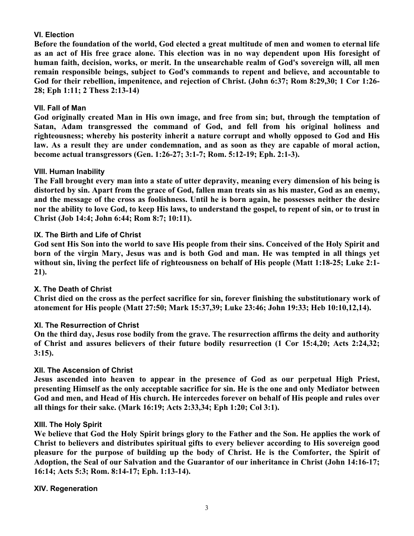### **VI. Election**

**Before the foundation of the world, God elected a great multitude of men and women to eternal life as an act of His free grace alone. This election was in no way dependent upon His foresight of human faith, decision, works, or merit. In the unsearchable realm of God's sovereign will, all men remain responsible beings, subject to God's commands to repent and believe, and accountable to God for their rebellion, impenitence, and rejection of Christ. (John 6:37; Rom 8:29,30; 1 Cor 1:26- 28; Eph 1:11; 2 Thess 2:13-14)**

### **VII. Fall of Man**

**God originally created Man in His own image, and free from sin; but, through the temptation of Satan, Adam transgressed the command of God, and fell from his original holiness and righteousness; whereby his posterity inherit a nature corrupt and wholly opposed to God and His law. As a result they are under condemnation, and as soon as they are capable of moral action, become actual transgressors (Gen. 1:26-27; 3:1-7; Rom. 5:12-19; Eph. 2:1-3).**

### **VIII. Human Inability**

**The Fall brought every man into a state of utter depravity, meaning every dimension of his being is distorted by sin. Apart from the grace of God, fallen man treats sin as his master, God as an enemy, and the message of the cross as foolishness. Until he is born again, he possesses neither the desire nor the ability to love God, to keep His laws, to understand the gospel, to repent of sin, or to trust in Christ (Job 14:4; John 6:44; Rom 8:7; 10:11).**

## **IX. The Birth and Life of Christ**

**God sent His Son into the world to save His people from their sins. Conceived of the Holy Spirit and born of the virgin Mary, Jesus was and is both God and man. He was tempted in all things yet without sin, living the perfect life of righteousness on behalf of His people (Matt 1:18-25; Luke 2:1- 21).**

### **X. The Death of Christ**

**Christ died on the cross as the perfect sacrifice for sin, forever finishing the substitutionary work of atonement for His people (Matt 27:50; Mark 15:37,39; Luke 23:46; John 19:33; Heb 10:10,12,14).**

### **XI. The Resurrection of Christ**

**On the third day, Jesus rose bodily from the grave. The resurrection affirms the deity and authority of Christ and assures believers of their future bodily resurrection (1 Cor 15:4,20; Acts 2:24,32; 3:15).**

### **XII. The Ascension of Christ**

**Jesus ascended into heaven to appear in the presence of God as our perpetual High Priest, presenting Himself as the only acceptable sacrifice for sin. He is the one and only Mediator between God and men, and Head of His church. He intercedes forever on behalf of His people and rules over all things for their sake. (Mark 16:19; Acts 2:33,34; Eph 1:20; Col 3:1).**

### **XIII. The Holy Spirit**

**We believe that God the Holy Spirit brings glory to the Father and the Son. He applies the work of Christ to believers and distributes spiritual gifts to every believer according to His sovereign good pleasure for the purpose of building up the body of Christ. He is the Comforter, the Spirit of Adoption, the Seal of our Salvation and the Guarantor of our inheritance in Christ (John 14:16-17; 16:14; Acts 5:3; Rom. 8:14-17; Eph. 1:13-14).** 

### **XIV. Regeneration**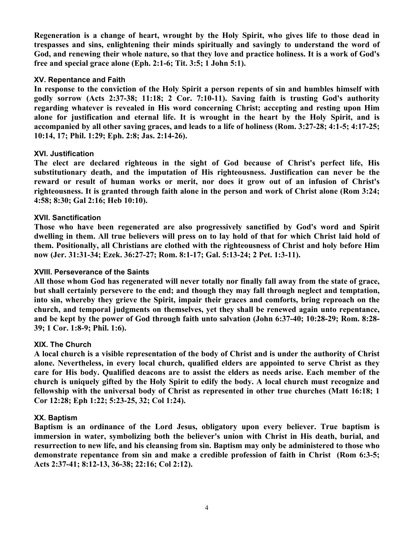**Regeneration is a change of heart, wrought by the Holy Spirit, who gives life to those dead in trespasses and sins, enlightening their minds spiritually and savingly to understand the word of God, and renewing their whole nature, so that they love and practice holiness. It is a work of God's free and special grace alone (Eph. 2:1-6; Tit. 3:5; 1 John 5:1).**

### **XV. Repentance and Faith**

**In response to the conviction of the Holy Spirit a person repents of sin and humbles himself with godly sorrow (Acts 2:37-38; 11:18; 2 Cor. 7:10-11). Saving faith is trusting God's authority regarding whatever is revealed in His word concerning Christ; accepting and resting upon Him alone for justification and eternal life. It is wrought in the heart by the Holy Spirit, and is accompanied by all other saving graces, and leads to a life of holiness (Rom. 3:27-28; 4:1-5; 4:17-25; 10:14, 17; Phil. 1:29; Eph. 2:8; Jas. 2:14-26).**

## **XVI. Justification**

**The elect are declared righteous in the sight of God because of Christ's perfect life, His substitutionary death, and the imputation of His righteousness. Justification can never be the reward or result of human works or merit, nor does it grow out of an infusion of Christ's righteousness. It is granted through faith alone in the person and work of Christ alone (Rom 3:24; 4:58; 8:30; Gal 2:16; Heb 10:10).**

## **XVII. Sanctification**

**Those who have been regenerated are also progressively sanctified by God's word and Spirit dwelling in them. All true believers will press on to lay hold of that for which Christ laid hold of them. Positionally, all Christians are clothed with the righteousness of Christ and holy before Him now (Jer. 31:31-34; Ezek. 36:27-27; Rom. 8:1-17; Gal. 5:13-24; 2 Pet. 1:3-11).**

### **XVIII. Perseverance of the Saints**

**All those whom God has regenerated will never totally nor finally fall away from the state of grace, but shall certainly persevere to the end; and though they may fall through neglect and temptation, into sin, whereby they grieve the Spirit, impair their graces and comforts, bring reproach on the church, and temporal judgments on themselves, yet they shall be renewed again unto repentance, and be kept by the power of God through faith unto salvation (John 6:37-40; 10:28-29; Rom. 8:28- 39; 1 Cor. 1:8-9; Phil. 1:6).** 

### **XIX. The Church**

**A local church is a visible representation of the body of Christ and is under the authority of Christ alone. Nevertheless, in every local church, qualified elders are appointed to serve Christ as they care for His body. Qualified deacons are to assist the elders as needs arise. Each member of the church is uniquely gifted by the Holy Spirit to edify the body. A local church must recognize and fellowship with the universal body of Christ as represented in other true churches (Matt 16:18; 1 Cor 12:28; Eph 1:22; 5:23-25, 32; Col 1:24).**

### **XX. Baptism**

**Baptism is an ordinance of the Lord Jesus, obligatory upon every believer. True baptism is immersion in water, symbolizing both the believer's union with Christ in His death, burial, and resurrection to new life, and his cleansing from sin. Baptism may only be administered to those who demonstrate repentance from sin and make a credible profession of faith in Christ (Rom 6:3-5; Acts 2:37-41; 8:12-13, 36-38; 22:16; Col 2:12).**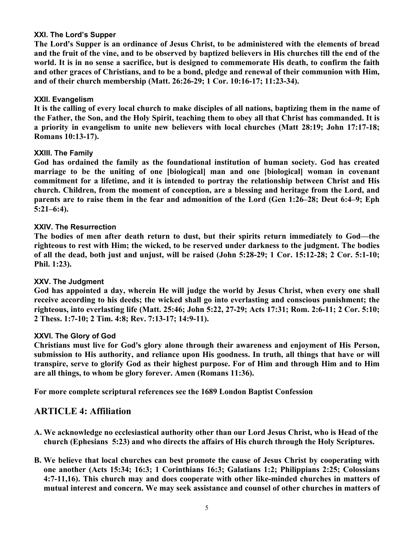### **XXI. The Lord's Supper**

**The Lord's Supper is an ordinance of Jesus Christ, to be administered with the elements of bread and the fruit of the vine, and to be observed by baptized believers in His churches till the end of the world. It is in no sense a sacrifice, but is designed to commemorate His death, to confirm the faith and other graces of Christians, and to be a bond, pledge and renewal of their communion with Him, and of their church membership (Matt. 26:26-29; 1 Cor. 10:16-17; 11:23-34).**

## **XXII. Evangelism**

**It is the calling of every local church to make disciples of all nations, baptizing them in the name of the Father, the Son, and the Holy Spirit, teaching them to obey all that Christ has commanded. It is a priority in evangelism to unite new believers with local churches (Matt 28:19; John 17:17-18; Romans 10:13-17).**

## **XXIII. The Family**

**God has ordained the family as the foundational institution of human society. God has created marriage to be the uniting of one [biological] man and one [biological] woman in covenant commitment for a lifetime, and it is intended to portray the relationship between Christ and His church. Children, from the moment of conception, are a blessing and heritage from the Lord, and parents are to raise them in the fear and admonition of the Lord (Gen 1:26–28; Deut 6:4–9; Eph 5:21–6:4).**

## **XXIV. The Resurrection**

**The bodies of men after death return to dust, but their spirits return immediately to God—the righteous to rest with Him; the wicked, to be reserved under darkness to the judgment. The bodies of all the dead, both just and unjust, will be raised (John 5:28-29; 1 Cor. 15:12-28; 2 Cor. 5:1-10; Phil. 1:23).**

### **XXV. The Judgment**

**God has appointed a day, wherein He will judge the world by Jesus Christ, when every one shall receive according to his deeds; the wicked shall go into everlasting and conscious punishment; the righteous, into everlasting life (Matt. 25:46; John 5:22, 27-29; Acts 17:31; Rom. 2:6-11; 2 Cor. 5:10; 2 Thess. 1:7-10; 2 Tim. 4:8; Rev. 7:13-17; 14:9-11).**

### **XXVI. The Glory of God**

**Christians must live for God's glory alone through their awareness and enjoyment of His Person, submission to His authority, and reliance upon His goodness. In truth, all things that have or will transpire, serve to glorify God as their highest purpose. For of Him and through Him and to Him are all things, to whom be glory forever. Amen (Romans 11:36).**

**For more complete scriptural references see the 1689 London Baptist Confession**

# **ARTICLE 4: Affiliation**

- **A. We acknowledge no ecclesiastical authority other than our Lord Jesus Christ, who is Head of the church (Ephesians 5:23) and who directs the affairs of His church through the Holy Scriptures.**
- **B. We believe that local churches can best promote the cause of Jesus Christ by cooperating with one another (Acts 15:34; 16:3; 1 Corinthians 16:3; Galatians 1:2; Philippians 2:25; Colossians 4:7-11,16). This church may and does cooperate with other like-minded churches in matters of mutual interest and concern. We may seek assistance and counsel of other churches in matters of**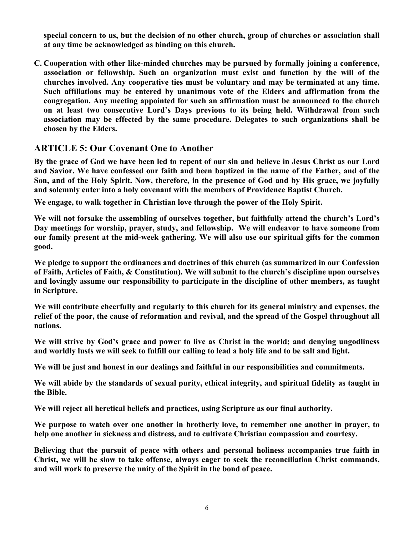**special concern to us, but the decision of no other church, group of churches or association shall at any time be acknowledged as binding on this church.**

**C. Cooperation with other like-minded churches may be pursued by formally joining a conference, association or fellowship. Such an organization must exist and function by the will of the churches involved. Any cooperative ties must be voluntary and may be terminated at any time. Such affiliations may be entered by unanimous vote of the Elders and affirmation from the congregation. Any meeting appointed for such an affirmation must be announced to the church on at least two consecutive Lord's Days previous to its being held. Withdrawal from such association may be effected by the same procedure. Delegates to such organizations shall be chosen by the Elders.**

# **ARTICLE 5: Our Covenant One to Another**

**By the grace of God we have been led to repent of our sin and believe in Jesus Christ as our Lord and Savior. We have confessed our faith and been baptized in the name of the Father, and of the Son, and of the Holy Spirit. Now, therefore, in the presence of God and by His grace, we joyfully and solemnly enter into a holy covenant with the members of Providence Baptist Church.**

**We engage, to walk together in Christian love through the power of the Holy Spirit.** 

**We will not forsake the assembling of ourselves together, but faithfully attend the church's Lord's Day meetings for worship, prayer, study, and fellowship. We will endeavor to have someone from our family present at the mid-week gathering. We will also use our spiritual gifts for the common good.** 

**We pledge to support the ordinances and doctrines of this church (as summarized in our Confession of Faith, Articles of Faith, & Constitution). We will submit to the church's discipline upon ourselves and lovingly assume our responsibility to participate in the discipline of other members, as taught in Scripture.**

**We will contribute cheerfully and regularly to this church for its general ministry and expenses, the relief of the poor, the cause of reformation and revival, and the spread of the Gospel throughout all nations.** 

**We will strive by God's grace and power to live as Christ in the world; and denying ungodliness and worldly lusts we will seek to fulfill our calling to lead a holy life and to be salt and light.** 

**We will be just and honest in our dealings and faithful in our responsibilities and commitments.** 

**We will abide by the standards of sexual purity, ethical integrity, and spiritual fidelity as taught in the Bible.** 

**We will reject all heretical beliefs and practices, using Scripture as our final authority.** 

**We purpose to watch over one another in brotherly love, to remember one another in prayer, to help one another in sickness and distress, and to cultivate Christian compassion and courtesy.** 

**Believing that the pursuit of peace with others and personal holiness accompanies true faith in Christ, we will be slow to take offense, always eager to seek the reconciliation Christ commands, and will work to preserve the unity of the Spirit in the bond of peace.**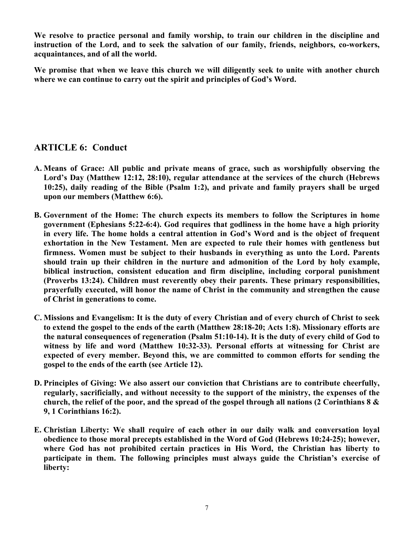**We resolve to practice personal and family worship, to train our children in the discipline and instruction of the Lord, and to seek the salvation of our family, friends, neighbors, co-workers, acquaintances, and of all the world.**

**We promise that when we leave this church we will diligently seek to unite with another church where we can continue to carry out the spirit and principles of God's Word.** 

# **ARTICLE 6: Conduct**

- **A. Means of Grace: All public and private means of grace, such as worshipfully observing the Lord's Day (Matthew 12:12, 28:10), regular attendance at the services of the church (Hebrews 10:25), daily reading of the Bible (Psalm 1:2), and private and family prayers shall be urged upon our members (Matthew 6:6).**
- **B. Government of the Home: The church expects its members to follow the Scriptures in home government (Ephesians 5:22-6:4). God requires that godliness in the home have a high priority in every life. The home holds a central attention in God's Word and is the object of frequent exhortation in the New Testament. Men are expected to rule their homes with gentleness but firmness. Women must be subject to their husbands in everything as unto the Lord. Parents should train up their children in the nurture and admonition of the Lord by holy example, biblical instruction, consistent education and firm discipline, including corporal punishment (Proverbs 13:24). Children must reverently obey their parents. These primary responsibilities, prayerfully executed, will honor the name of Christ in the community and strengthen the cause of Christ in generations to come.**
- **C. Missions and Evangelism: It is the duty of every Christian and of every church of Christ to seek to extend the gospel to the ends of the earth (Matthew 28:18-20; Acts 1:8). Missionary efforts are the natural consequences of regeneration (Psalm 51:10-14). It is the duty of every child of God to witness by life and word (Matthew 10:32-33). Personal efforts at witnessing for Christ are expected of every member. Beyond this, we are committed to common efforts for sending the gospel to the ends of the earth (see Article 12).**
- **D. Principles of Giving: We also assert our conviction that Christians are to contribute cheerfully, regularly, sacrificially, and without necessity to the support of the ministry, the expenses of the church, the relief of the poor, and the spread of the gospel through all nations (2 Corinthians 8 & 9, 1 Corinthians 16:2).**
- **E. Christian Liberty: We shall require of each other in our daily walk and conversation loyal obedience to those moral precepts established in the Word of God (Hebrews 10:24-25); however, where God has not prohibited certain practices in His Word, the Christian has liberty to participate in them. The following principles must always guide the Christian's exercise of liberty:**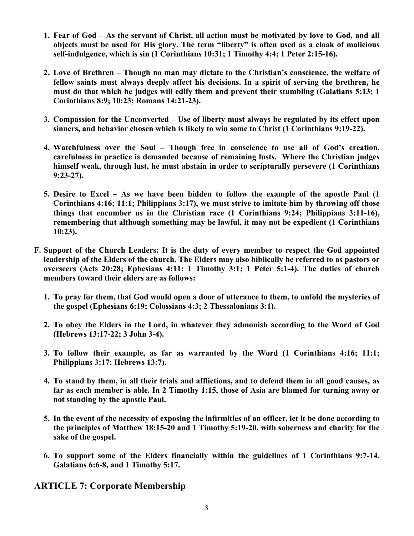- **1. Fear of God – As the servant of Christ, all action must be motivated by love to God, and all objects must be used for His glory. The term "liberty" is often used as a cloak of malicious self-indulgence, which is sin (1 Corinthians 10:31; 1 Timothy 4:4; 1 Peter 2:15-16).**
- **2. Love of Brethren – Though no man may dictate to the Christian's conscience, the welfare of fellow saints must always deeply affect his decisions. In a spirit of serving the brethren, he must do that which he judges will edify them and prevent their stumbling (Galatians 5:13; 1 Corinthians 8:9; 10:23; Romans 14:21-23).**
- **3. Compassion for the Unconverted – Use of liberty must always be regulated by its effect upon sinners, and behavior chosen which is likely to win some to Christ (1 Corinthians 9:19-22).**
- **4. Watchfulness over the Soul – Though free in conscience to use all of God's creation, carefulness in practice is demanded because of remaining lusts. Where the Christian judges himself weak, through lust, he must abstain in order to scripturally persevere (1 Corinthians 9:23-27).**
- **5. Desire to Excel – As we have been bidden to follow the example of the apostle Paul (1 Corinthians 4:16; 11:1; Philippians 3:17), we must strive to imitate him by throwing off those things that encumber us in the Christian race (1 Corinthians 9:24; Philippians 3:11-16), remembering that although something may be lawful, it may not be expedient (1 Corinthians 10:23).**
- **F. Support of the Church Leaders: It is the duty of every member to respect the God appointed leadership of the Elders of the church. The Elders may also biblically be referred to as pastors or overseers (Acts 20:28; Ephesians 4:11; 1 Timothy 3:1; 1 Peter 5:1-4). The duties of church members toward their elders are as follows:**
	- **1. To pray for them, that God would open a door of utterance to them, to unfold the mysteries of the gospel (Ephesians 6:19; Colossians 4:3; 2 Thessalonians 3:1).**
	- **2. To obey the Elders in the Lord, in whatever they admonish according to the Word of God (Hebrews 13:17-22; 3 John 3-4).**
	- **3. To follow their example, as far as warranted by the Word (1 Corinthians 4:16; 11:1; Philippians 3:17; Hebrews 13:7).**
	- **4. To stand by them, in all their trials and afflictions, and to defend them in all good causes, as far as each member is able. In 2 Timothy 1:15, those of Asia are blamed for turning away or not standing by the apostle Paul.**
	- **5. In the event of the necessity of exposing the infirmities of an officer, let it be done according to the principles of Matthew 18:15-20 and 1 Timothy 5:19-20, with soberness and charity for the sake of the gospel.**
	- **6. To support some of the Elders financially within the guidelines of 1 Corinthians 9:7-14, Galatians 6:6-8, and 1 Timothy 5:17.**

**ARTICLE 7: Corporate Membership**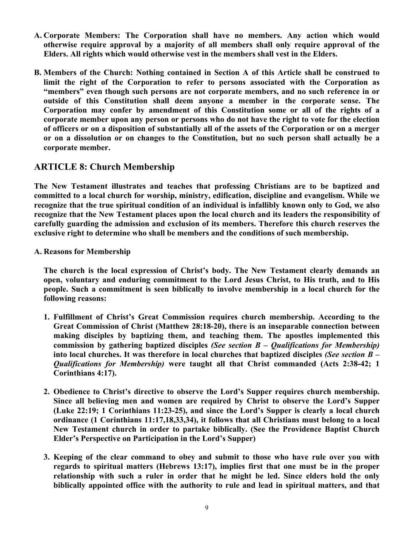- **A. Corporate Members: The Corporation shall have no members. Any action which would otherwise require approval by a majority of all members shall only require approval of the Elders. All rights which would otherwise vest in the members shall vest in the Elders.**
- **B. Members of the Church: Nothing contained in Section A of this Article shall be construed to limit the right of the Corporation to refer to persons associated with the Corporation as "members" even though such persons are not corporate members, and no such reference in or outside of this Constitution shall deem anyone a member in the corporate sense. The Corporation may confer by amendment of this Constitution some or all of the rights of a corporate member upon any person or persons who do not have the right to vote for the election of officers or on a disposition of substantially all of the assets of the Corporation or on a merger or on a dissolution or on changes to the Constitution, but no such person shall actually be a corporate member.**

# **ARTICLE 8: Church Membership**

**The New Testament illustrates and teaches that professing Christians are to be baptized and committed to a local church for worship, ministry, edification, discipline and evangelism. While we recognize that the true spiritual condition of an individual is infallibly known only to God, we also recognize that the New Testament places upon the local church and its leaders the responsibility of carefully guarding the admission and exclusion of its members. Therefore this church reserves the exclusive right to determine who shall be members and the conditions of such membership.** 

**A. Reasons for Membership** 

**The church is the local expression of Christ's body. The New Testament clearly demands an open, voluntary and enduring commitment to the Lord Jesus Christ, to His truth, and to His people. Such a commitment is seen biblically to involve membership in a local church for the following reasons:**

- **1. Fulfillment of Christ's Great Commission requires church membership. According to the Great Commission of Christ (Matthew 28:18-20), there is an inseparable connection between making disciples by baptizing them, and teaching them. The apostles implemented this commission by gathering baptized disciples** *(See section B – Qualifications for Membership)* **into local churches. It was therefore in local churches that baptized disciples** *(See section B – Qualifications for Membership)* **were taught all that Christ commanded (Acts 2:38-42; 1 Corinthians 4:17).**
- **2. Obedience to Christ's directive to observe the Lord's Supper requires church membership. Since all believing men and women are required by Christ to observe the Lord's Supper (Luke 22:19; 1 Corinthians 11:23-25), and since the Lord's Supper is clearly a local church ordinance (1 Corinthians 11:17,18,33,34), it follows that all Christians must belong to a local New Testament church in order to partake biblically. (See the Providence Baptist Church Elder's Perspective on Participation in the Lord's Supper)**
- **3. Keeping of the clear command to obey and submit to those who have rule over you with regards to spiritual matters (Hebrews 13:17), implies first that one must be in the proper relationship with such a ruler in order that he might be led. Since elders hold the only biblically appointed office with the authority to rule and lead in spiritual matters, and that**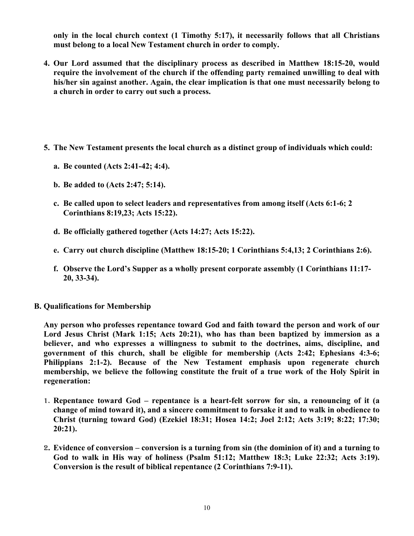**only in the local church context (1 Timothy 5:17), it necessarily follows that all Christians must belong to a local New Testament church in order to comply.**

- **4. Our Lord assumed that the disciplinary process as described in Matthew 18:15-20, would require the involvement of the church if the offending party remained unwilling to deal with his/her sin against another. Again, the clear implication is that one must necessarily belong to a church in order to carry out such a process.**
- **5. The New Testament presents the local church as a distinct group of individuals which could:**
	- **a. Be counted (Acts 2:41-42; 4:4).**
	- **b. Be added to (Acts 2:47; 5:14).**
	- **c. Be called upon to select leaders and representatives from among itself (Acts 6:1-6; 2 Corinthians 8:19,23; Acts 15:22).**
	- **d. Be officially gathered together (Acts 14:27; Acts 15:22).**
	- **e. Carry out church discipline (Matthew 18:15-20; 1 Corinthians 5:4,13; 2 Corinthians 2:6).**
	- **f. Observe the Lord's Supper as a wholly present corporate assembly (1 Corinthians 11:17- 20, 33-34).**
- **B. Qualifications for Membership**

**Any person who professes repentance toward God and faith toward the person and work of our Lord Jesus Christ (Mark 1:15; Acts 20:21), who has than been baptized by immersion as a believer, and who expresses a willingness to submit to the doctrines, aims, discipline, and government of this church, shall be eligible for membership (Acts 2:42; Ephesians 4:3-6; Philippians 2:1-2). Because of the New Testament emphasis upon regenerate church membership, we believe the following constitute the fruit of a true work of the Holy Spirit in regeneration:**

- 1. **Repentance toward God – repentance is a heart-felt sorrow for sin, a renouncing of it (a change of mind toward it), and a sincere commitment to forsake it and to walk in obedience to Christ (turning toward God) (Ezekiel 18:31; Hosea 14:2; Joel 2:12; Acts 3:19; 8:22; 17:30; 20:21).**
- 2**. Evidence of conversion – conversion is a turning from sin (the dominion of it) and a turning to God to walk in His way of holiness (Psalm 51:12; Matthew 18:3; Luke 22:32; Acts 3:19). Conversion is the result of biblical repentance (2 Corinthians 7:9-11).**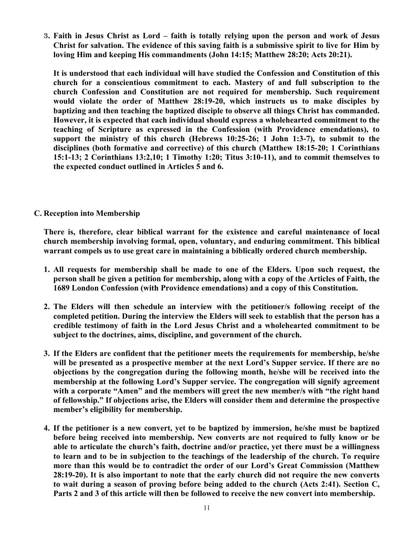3**. Faith in Jesus Christ as Lord – faith is totally relying upon the person and work of Jesus Christ for salvation. The evidence of this saving faith is a submissive spirit to live for Him by loving Him and keeping His commandments (John 14:15; Matthew 28:20; Acts 20:21).**

**It is understood that each individual will have studied the Confession and Constitution of this church for a conscientious commitment to each. Mastery of and full subscription to the church Confession and Constitution are not required for membership. Such requirement would violate the order of Matthew 28:19-20, which instructs us to make disciples by baptizing and then teaching the baptized disciple to observe all things Christ has commanded. However, it is expected that each individual should express a wholehearted commitment to the teaching of Scripture as expressed in the Confession (with Providence emendations), to support the ministry of this church (Hebrews 10:25-26; 1 John 1:3-7), to submit to the disciplines (both formative and corrective) of this church (Matthew 18:15-20; 1 Corinthians 15:1-13; 2 Corinthians 13:2,10; 1 Timothy 1:20; Titus 3:10-11), and to commit themselves to the expected conduct outlined in Articles 5 and 6.**

## **C. Reception into Membership**

**There is, therefore, clear biblical warrant for the existence and careful maintenance of local church membership involving formal, open, voluntary, and enduring commitment. This biblical warrant compels us to use great care in maintaining a biblically ordered church membership.** 

- **1. All requests for membership shall be made to one of the Elders. Upon such request, the person shall be given a petition for membership, along with a copy of the Articles of Faith, the 1689 London Confession (with Providence emendations) and a copy of this Constitution.**
- **2. The Elders will then schedule an interview with the petitioner/s following receipt of the completed petition. During the interview the Elders will seek to establish that the person has a credible testimony of faith in the Lord Jesus Christ and a wholehearted commitment to be subject to the doctrines, aims, discipline, and government of the church.**
- **3. If the Elders are confident that the petitioner meets the requirements for membership, he/she will be presented as a prospective member at the next Lord's Supper service. If there are no objections by the congregation during the following month, he/she will be received into the membership at the following Lord's Supper service. The congregation will signify agreement with a corporate "Amen" and the members will greet the new member/s with "the right hand of fellowship." If objections arise, the Elders will consider them and determine the prospective member's eligibility for membership.**
- **4. If the petitioner is a new convert, yet to be baptized by immersion, he/she must be baptized before being received into membership. New converts are not required to fully know or be able to articulate the church's faith, doctrine and/or practice, yet there must be a willingness to learn and to be in subjection to the teachings of the leadership of the church. To require more than this would be to contradict the order of our Lord's Great Commission (Matthew 28:19-20). It is also important to note that the early church did not require the new converts to wait during a season of proving before being added to the church (Acts 2:41). Section C, Parts 2 and 3 of this article will then be followed to receive the new convert into membership.**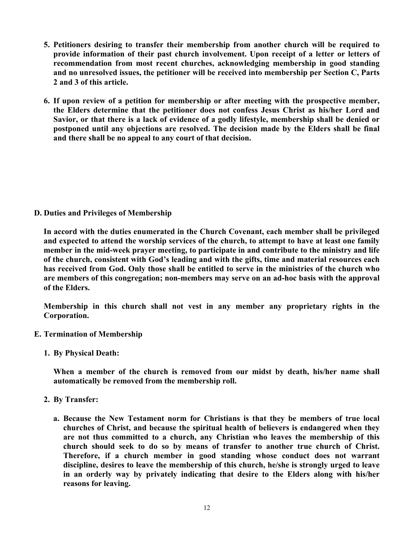- **5. Petitioners desiring to transfer their membership from another church will be required to provide information of their past church involvement. Upon receipt of a letter or letters of recommendation from most recent churches, acknowledging membership in good standing and no unresolved issues, the petitioner will be received into membership per Section C, Parts 2 and 3 of this article.**
- **6. If upon review of a petition for membership or after meeting with the prospective member, the Elders determine that the petitioner does not confess Jesus Christ as his/her Lord and Savior, or that there is a lack of evidence of a godly lifestyle, membership shall be denied or postponed until any objections are resolved. The decision made by the Elders shall be final and there shall be no appeal to any court of that decision.**

**D. Duties and Privileges of Membership**

**In accord with the duties enumerated in the Church Covenant, each member shall be privileged and expected to attend the worship services of the church, to attempt to have at least one family member in the mid-week prayer meeting, to participate in and contribute to the ministry and life of the church, consistent with God's leading and with the gifts, time and material resources each has received from God. Only those shall be entitled to serve in the ministries of the church who are members of this congregation; non-members may serve on an ad-hoc basis with the approval of the Elders.** 

**Membership in this church shall not vest in any member any proprietary rights in the Corporation.**

- **E. Termination of Membership**
	- **1. By Physical Death:**

**When a member of the church is removed from our midst by death, his/her name shall automatically be removed from the membership roll.**

- **2. By Transfer:**
	- **a. Because the New Testament norm for Christians is that they be members of true local churches of Christ, and because the spiritual health of believers is endangered when they are not thus committed to a church, any Christian who leaves the membership of this church should seek to do so by means of transfer to another true church of Christ. Therefore, if a church member in good standing whose conduct does not warrant discipline, desires to leave the membership of this church, he/she is strongly urged to leave in an orderly way by privately indicating that desire to the Elders along with his/her reasons for leaving.**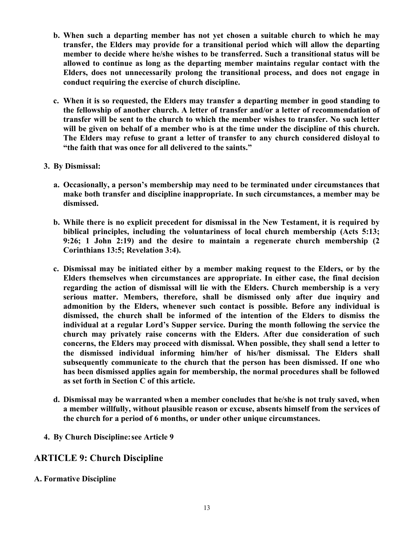- **b. When such a departing member has not yet chosen a suitable church to which he may transfer, the Elders may provide for a transitional period which will allow the departing member to decide where he/she wishes to be transferred. Such a transitional status will be allowed to continue as long as the departing member maintains regular contact with the Elders, does not unnecessarily prolong the transitional process, and does not engage in conduct requiring the exercise of church discipline.**
- **c. When it is so requested, the Elders may transfer a departing member in good standing to the fellowship of another church. A letter of transfer and/or a letter of recommendation of transfer will be sent to the church to which the member wishes to transfer. No such letter will be given on behalf of a member who is at the time under the discipline of this church. The Elders may refuse to grant a letter of transfer to any church considered disloyal to "the faith that was once for all delivered to the saints."**
- **3. By Dismissal:**
	- **a. Occasionally, a person's membership may need to be terminated under circumstances that make both transfer and discipline inappropriate. In such circumstances, a member may be dismissed.**
	- **b. While there is no explicit precedent for dismissal in the New Testament, it is required by biblical principles, including the voluntariness of local church membership (Acts 5:13; 9:26; 1 John 2:19) and the desire to maintain a regenerate church membership (2 Corinthians 13:5; Revelation 3:4).**
	- **c. Dismissal may be initiated either by a member making request to the Elders, or by the Elders themselves when circumstances are appropriate. In either case, the final decision regarding the action of dismissal will lie with the Elders. Church membership is a very serious matter. Members, therefore, shall be dismissed only after due inquiry and admonition by the Elders, whenever such contact is possible. Before any individual is dismissed, the church shall be informed of the intention of the Elders to dismiss the individual at a regular Lord's Supper service. During the month following the service the church may privately raise concerns with the Elders. After due consideration of such concerns, the Elders may proceed with dismissal. When possible, they shall send a letter to the dismissed individual informing him/her of his/her dismissal. The Elders shall subsequently communicate to the church that the person has been dismissed. If one who has been dismissed applies again for membership, the normal procedures shall be followed as set forth in Section C of this article.**
	- **d. Dismissal may be warranted when a member concludes that he/she is not truly saved, when a member willfully, without plausible reason or excuse, absents himself from the services of the church for a period of 6 months, or under other unique circumstances.**
- **4. By Church Discipline:see Article 9**

# **ARTICLE 9: Church Discipline**

**A. Formative Discipline**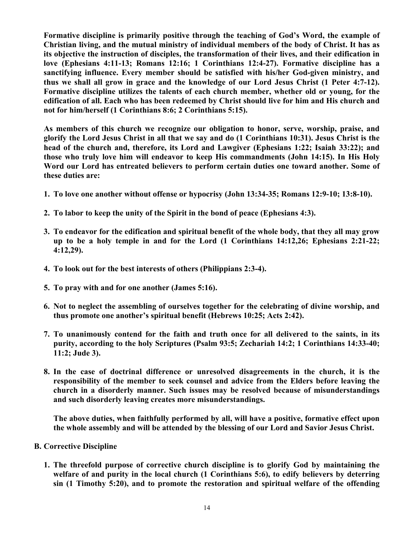**Formative discipline is primarily positive through the teaching of God's Word, the example of Christian living, and the mutual ministry of individual members of the body of Christ. It has as its objective the instruction of disciples, the transformation of their lives, and their edification in love (Ephesians 4:11-13; Romans 12:16; 1 Corinthians 12:4-27). Formative discipline has a sanctifying influence. Every member should be satisfied with his/her God-given ministry, and thus we shall all grow in grace and the knowledge of our Lord Jesus Christ (1 Peter 4:7-12). Formative discipline utilizes the talents of each church member, whether old or young, for the edification of all. Each who has been redeemed by Christ should live for him and His church and not for him/herself (1 Corinthians 8:6; 2 Corinthians 5:15).**

**As members of this church we recognize our obligation to honor, serve, worship, praise, and glorify the Lord Jesus Christ in all that we say and do (1 Corinthians 10:31). Jesus Christ is the head of the church and, therefore, its Lord and Lawgiver (Ephesians 1:22; Isaiah 33:22); and those who truly love him will endeavor to keep His commandments (John 14:15). In His Holy Word our Lord has entreated believers to perform certain duties one toward another. Some of these duties are:**

- **1. To love one another without offense or hypocrisy (John 13:34-35; Romans 12:9-10; 13:8-10).**
- **2. To labor to keep the unity of the Spirit in the bond of peace (Ephesians 4:3).**
- **3. To endeavor for the edification and spiritual benefit of the whole body, that they all may grow up to be a holy temple in and for the Lord (1 Corinthians 14:12,26; Ephesians 2:21-22; 4:12,29).**
- **4. To look out for the best interests of others (Philippians 2:3-4).**
- **5. To pray with and for one another (James 5:16).**
- **6. Not to neglect the assembling of ourselves together for the celebrating of divine worship, and thus promote one another's spiritual benefit (Hebrews 10:25; Acts 2:42).**
- **7. To unanimously contend for the faith and truth once for all delivered to the saints, in its purity, according to the holy Scriptures (Psalm 93:5; Zechariah 14:2; 1 Corinthians 14:33-40; 11:2; Jude 3).**
- **8. In the case of doctrinal difference or unresolved disagreements in the church, it is the responsibility of the member to seek counsel and advice from the Elders before leaving the church in a disorderly manner. Such issues may be resolved because of misunderstandings and such disorderly leaving creates more misunderstandings.**

**The above duties, when faithfully performed by all, will have a positive, formative effect upon the whole assembly and will be attended by the blessing of our Lord and Savior Jesus Christ.**

### **B. Corrective Discipline**

**1. The threefold purpose of corrective church discipline is to glorify God by maintaining the welfare of and purity in the local church (1 Corinthians 5:6), to edify believers by deterring sin (1 Timothy 5:20), and to promote the restoration and spiritual welfare of the offending**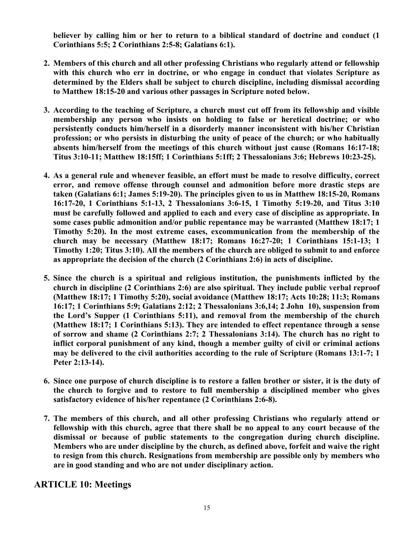**believer by calling him or her to return to a biblical standard of doctrine and conduct (1 Corinthians 5:5; 2 Corinthians 2:5-8; Galatians 6:1).** 

- **2. Members of this church and all other professing Christians who regularly attend or fellowship with this church who err in doctrine, or who engage in conduct that violates Scripture as determined by the Elders shall be subject to church discipline, including dismissal according to Matthew 18:15-20 and various other passages in Scripture noted below.**
- **3. According to the teaching of Scripture, a church must cut off from its fellowship and visible membership any person who insists on holding to false or heretical doctrine; or who persistently conducts him/herself in a disorderly manner inconsistent with his/her Christian profession; or who persists in disturbing the unity of peace of the church; or who habitually absents him/herself from the meetings of this church without just cause (Romans 16:17-18; Titus 3:10-11; Matthew 18:15ff; 1 Corinthians 5:1ff; 2 Thessalonians 3:6; Hebrews 10:23-25).**
- **4. As a general rule and whenever feasible, an effort must be made to resolve difficulty, correct error, and remove offense through counsel and admonition before more drastic steps are taken (Galatians 6:1; James 5:19-20). The principles given to us in Matthew 18:15-20, Romans 16:17-20, 1 Corinthians 5:1-13, 2 Thessalonians 3:6-15, 1 Timothy 5:19-20, and Titus 3:10 must be carefully followed and applied to each and every case of discipline as appropriate. In some cases public admonition and/or public repentance may be warranted (Matthew 18:17; 1 Timothy 5:20). In the most extreme cases, excommunication from the membership of the church may be necessary (Matthew 18:17; Romans 16:27-20; 1 Corinthians 15:1-13; 1 Timothy 1:20; Titus 3:10). All the members of the church are obliged to submit to and enforce as appropriate the decision of the church (2 Corinthians 2:6) in acts of discipline.**
- **5. Since the church is a spiritual and religious institution, the punishments inflicted by the church in discipline (2 Corinthians 2:6) are also spiritual. They include public verbal reproof (Matthew 18:17; 1 Timothy 5:20), social avoidance (Matthew 18:17; Acts 10:28; 11:3; Romans 16:17; 1 Corinthians 5:9; Galatians 2:12; 2 Thessalonians 3:6,14; 2 John 10), suspension from the Lord's Supper (1 Corinthians 5:11), and removal from the membership of the church (Matthew 18:17; 1 Corinthians 5:13). They are intended to effect repentance through a sense of sorrow and shame (2 Corinthians 2:7; 2 Thessalonians 3:14). The church has no right to inflict corporal punishment of any kind, though a member guilty of civil or criminal actions may be delivered to the civil authorities according to the rule of Scripture (Romans 13:1-7; 1 Peter 2:13-14).**
- **6. Since one purpose of church discipline is to restore a fallen brother or sister, it is the duty of the church to forgive and to restore to full membership a disciplined member who gives satisfactory evidence of his/her repentance (2 Corinthians 2:6-8).**
- **7. The members of this church, and all other professing Christians who regularly attend or fellowship with this church, agree that there shall be no appeal to any court because of the dismissal or because of public statements to the congregation during church discipline. Members who are under discipline by the church, as defined above, forfeit and waive the right to resign from this church. Resignations from membership are possible only by members who are in good standing and who are not under disciplinary action.**

# **ARTICLE 10: Meetings**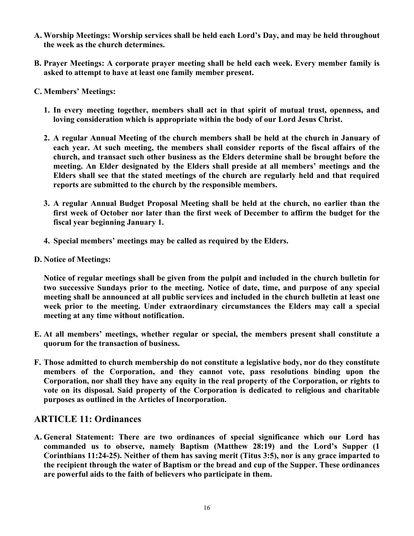- **A. Worship Meetings: Worship services shall be held each Lord's Day, and may be held throughout the week as the church determines.**
- **B. Prayer Meetings: A corporate prayer meeting shall be held each week. Every member family is asked to attempt to have at least one family member present.**
- **C. Members' Meetings:**
	- **1. In every meeting together, members shall act in that spirit of mutual trust, openness, and loving consideration which is appropriate within the body of our Lord Jesus Christ.**
	- **2. A regular Annual Meeting of the church members shall be held at the church in January of each year. At such meeting, the members shall consider reports of the fiscal affairs of the church, and transact such other business as the Elders determine shall be brought before the meeting. An Elder designated by the Elders shall preside at all members' meetings and the Elders shall see that the stated meetings of the church are regularly held and that required reports are submitted to the church by the responsible members.**
	- **3. A regular Annual Budget Proposal Meeting shall be held at the church, no earlier than the first week of October nor later than the first week of December to affirm the budget for the fiscal year beginning January 1.**
	- **4. Special members' meetings may be called as required by the Elders.**
- **D. Notice of Meetings:**

**Notice of regular meetings shall be given from the pulpit and included in the church bulletin for two successive Sundays prior to the meeting. Notice of date, time, and purpose of any special meeting shall be announced at all public services and included in the church bulletin at least one week prior to the meeting. Under extraordinary circumstances the Elders may call a special meeting at any time without notification.**

- **E. At all members' meetings, whether regular or special, the members present shall constitute a quorum for the transaction of business.**
- **F. Those admitted to church membership do not constitute a legislative body, nor do they constitute members of the Corporation, and they cannot vote, pass resolutions binding upon the Corporation, nor shall they have any equity in the real property of the Corporation, or rights to vote on its disposal. Said property of the Corporation is dedicated to religious and charitable purposes as outlined in the Articles of Incorporation.**

# **ARTICLE 11: Ordinances**

**A. General Statement: There are two ordinances of special significance which our Lord has commanded us to observe, namely Baptism (Matthew 28:19) and the Lord's Supper (1 Corinthians 11:24-25). Neither of them has saving merit (Titus 3:5), nor is any grace imparted to the recipient through the water of Baptism or the bread and cup of the Supper. These ordinances are powerful aids to the faith of believers who participate in them.**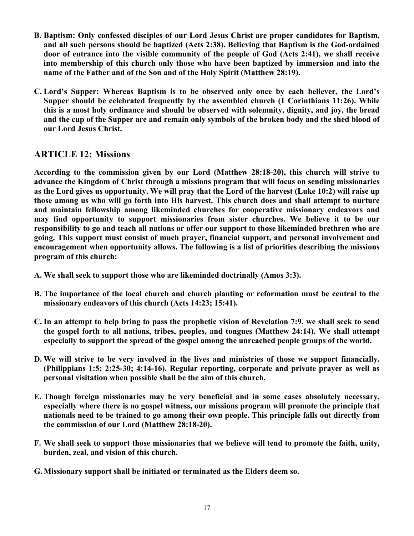- **B. Baptism: Only confessed disciples of our Lord Jesus Christ are proper candidates for Baptism, and all such persons should be baptized (Acts 2:38). Believing that Baptism is the God-ordained door of entrance into the visible community of the people of God (Acts 2:41), we shall receive into membership of this church only those who have been baptized by immersion and into the name of the Father and of the Son and of the Holy Spirit (Matthew 28:19).**
- **C. Lord's Supper: Whereas Baptism is to be observed only once by each believer, the Lord's Supper should be celebrated frequently by the assembled church (1 Corinthians 11:26). While this is a most holy ordinance and should be observed with solemnity, dignity, and joy, the bread and the cup of the Supper are and remain only symbols of the broken body and the shed blood of our Lord Jesus Christ.**

# **ARTICLE 12: Missions**

**According to the commission given by our Lord (Matthew 28:18-20), this church will strive to advance the Kingdom of Christ through a missions program that will focus on sending missionaries as the Lord gives us opportunity. We will pray that the Lord of the harvest (Luke 10:2) will raise up those among us who will go forth into His harvest. This church does and shall attempt to nurture and maintain fellowship among likeminded churches for cooperative missionary endeavors and may find opportunity to support missionaries from sister churches. We believe it to be our responsibility to go and teach all nations or offer our support to those likeminded brethren who are going. This support must consist of much prayer, financial support, and personal involvement and encouragement when opportunity allows. The following is a list of priorities describing the missions program of this church:**

- **A. We shall seek to support those who are likeminded doctrinally (Amos 3:3).**
- **B. The importance of the local church and church planting or reformation must be central to the missionary endeavors of this church (Acts 14:23; 15:41).**
- **C. In an attempt to help bring to pass the prophetic vision of Revelation 7:9, we shall seek to send the gospel forth to all nations, tribes, peoples, and tongues (Matthew 24:14). We shall attempt especially to support the spread of the gospel among the unreached people groups of the world.**
- **D. We will strive to be very involved in the lives and ministries of those we support financially. (Philippians 1:5; 2:25-30; 4:14-16). Regular reporting, corporate and private prayer as well as personal visitation when possible shall be the aim of this church.**
- **E. Though foreign missionaries may be very beneficial and in some cases absolutely necessary, especially where there is no gospel witness, our missions program will promote the principle that nationals need to be trained to go among their own people. This principle falls out directly from the commission of our Lord (Matthew 28:18-20).**
- **F. We shall seek to support those missionaries that we believe will tend to promote the faith, unity, burden, zeal, and vision of this church.**
- **G. Missionary support shall be initiated or terminated as the Elders deem so.**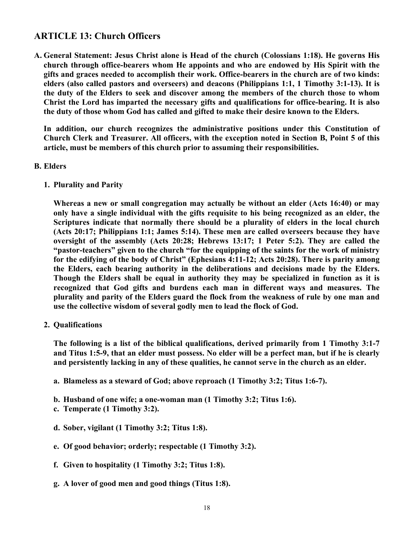# **ARTICLE 13: Church Officers**

**A. General Statement: Jesus Christ alone is Head of the church (Colossians 1:18). He governs His church through office-bearers whom He appoints and who are endowed by His Spirit with the gifts and graces needed to accomplish their work. Office-bearers in the church are of two kinds: elders (also called pastors and overseers) and deacons (Philippians 1:1, 1 Timothy 3:1-13). It is the duty of the Elders to seek and discover among the members of the church those to whom Christ the Lord has imparted the necessary gifts and qualifications for office-bearing. It is also the duty of those whom God has called and gifted to make their desire known to the Elders.**

**In addition, our church recognizes the administrative positions under this Constitution of Church Clerk and Treasurer. All officers, with the exception noted in Section B, Point 5 of this article, must be members of this church prior to assuming their responsibilities.**

### **B. Elders**

**1. Plurality and Parity**

**Whereas a new or small congregation may actually be without an elder (Acts 16:40) or may only have a single individual with the gifts requisite to his being recognized as an elder, the Scriptures indicate that normally there should be a plurality of elders in the local church (Acts 20:17; Philippians 1:1; James 5:14). These men are called overseers because they have oversight of the assembly (Acts 20:28; Hebrews 13:17; 1 Peter 5:2). They are called the "pastor-teachers" given to the church "for the equipping of the saints for the work of ministry for the edifying of the body of Christ" (Ephesians 4:11-12; Acts 20:28). There is parity among the Elders, each bearing authority in the deliberations and decisions made by the Elders. Though the Elders shall be equal in authority they may be specialized in function as it is recognized that God gifts and burdens each man in different ways and measures. The plurality and parity of the Elders guard the flock from the weakness of rule by one man and use the collective wisdom of several godly men to lead the flock of God.**

**2. Qualifications**

**The following is a list of the biblical qualifications, derived primarily from 1 Timothy 3:1-7 and Titus 1:5-9, that an elder must possess. No elder will be a perfect man, but if he is clearly and persistently lacking in any of these qualities, he cannot serve in the church as an elder.**

- **a. Blameless as a steward of God; above reproach (1 Timothy 3:2; Titus 1:6-7).**
- **b. Husband of one wife; a one-woman man (1 Timothy 3:2; Titus 1:6).**
- **c. Temperate (1 Timothy 3:2).**
- **d. Sober, vigilant (1 Timothy 3:2; Titus 1:8).**
- **e. Of good behavior; orderly; respectable (1 Timothy 3:2).**
- **f. Given to hospitality (1 Timothy 3:2; Titus 1:8).**
- **g. A lover of good men and good things (Titus 1:8).**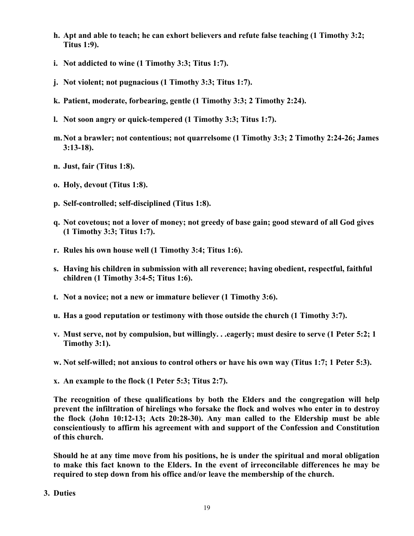- **h. Apt and able to teach; he can exhort believers and refute false teaching (1 Timothy 3:2; Titus 1:9).**
- **i. Not addicted to wine (1 Timothy 3:3; Titus 1:7).**
- **j. Not violent; not pugnacious (1 Timothy 3:3; Titus 1:7).**
- **k. Patient, moderate, forbearing, gentle (1 Timothy 3:3; 2 Timothy 2:24).**
- **l. Not soon angry or quick-tempered (1 Timothy 3:3; Titus 1:7).**
- **m.Not a brawler; not contentious; not quarrelsome (1 Timothy 3:3; 2 Timothy 2:24-26; James 3:13-18).**
- **n. Just, fair (Titus 1:8).**
- **o. Holy, devout (Titus 1:8).**
- **p. Self-controlled; self-disciplined (Titus 1:8).**
- **q. Not covetous; not a lover of money; not greedy of base gain; good steward of all God gives (1 Timothy 3:3; Titus 1:7).**
- **r. Rules his own house well (1 Timothy 3:4; Titus 1:6).**
- **s. Having his children in submission with all reverence; having obedient, respectful, faithful children (1 Timothy 3:4-5; Titus 1:6).**
- **t. Not a novice; not a new or immature believer (1 Timothy 3:6).**
- **u. Has a good reputation or testimony with those outside the church (1 Timothy 3:7).**
- **v. Must serve, not by compulsion, but willingly. . .eagerly; must desire to serve (1 Peter 5:2; 1 Timothy 3:1).**
- **w. Not self-willed; not anxious to control others or have his own way (Titus 1:7; 1 Peter 5:3).**
- **x. An example to the flock (1 Peter 5:3; Titus 2:7).**

**The recognition of these qualifications by both the Elders and the congregation will help prevent the infiltration of hirelings who forsake the flock and wolves who enter in to destroy the flock (John 10:12-13; Acts 20:28-30). Any man called to the Eldership must be able conscientiously to affirm his agreement with and support of the Confession and Constitution of this church.** 

**Should he at any time move from his positions, he is under the spiritual and moral obligation to make this fact known to the Elders. In the event of irreconcilable differences he may be required to step down from his office and/or leave the membership of the church.**

**3. Duties**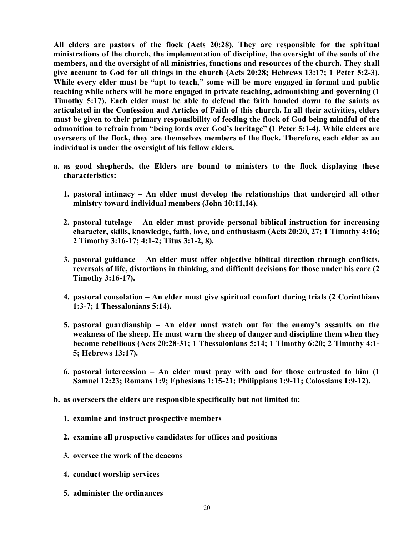**All elders are pastors of the flock (Acts 20:28). They are responsible for the spiritual ministrations of the church, the implementation of discipline, the oversight of the souls of the members, and the oversight of all ministries, functions and resources of the church. They shall give account to God for all things in the church (Acts 20:28; Hebrews 13:17; 1 Peter 5:2-3). While every elder must be "apt to teach," some will be more engaged in formal and public teaching while others will be more engaged in private teaching, admonishing and governing (1 Timothy 5:17). Each elder must be able to defend the faith handed down to the saints as articulated in the Confession and Articles of Faith of this church. In all their activities, elders must be given to their primary responsibility of feeding the flock of God being mindful of the admonition to refrain from "being lords over God's heritage" (1 Peter 5:1-4). While elders are overseers of the flock, they are themselves members of the flock. Therefore, each elder as an individual is under the oversight of his fellow elders.** 

- **a. as good shepherds, the Elders are bound to ministers to the flock displaying these characteristics:**
	- **1. pastoral intimacy – An elder must develop the relationships that undergird all other ministry toward individual members (John 10:11,14).**
	- **2. pastoral tutelage – An elder must provide personal biblical instruction for increasing character, skills, knowledge, faith, love, and enthusiasm (Acts 20:20, 27; 1 Timothy 4:16; 2 Timothy 3:16-17; 4:1-2; Titus 3:1-2, 8).**
	- **3. pastoral guidance – An elder must offer objective biblical direction through conflicts, reversals of life, distortions in thinking, and difficult decisions for those under his care (2 Timothy 3:16-17).**
	- **4. pastoral consolation – An elder must give spiritual comfort during trials (2 Corinthians 1:3-7; 1 Thessalonians 5:14).**
	- **5. pastoral guardianship – An elder must watch out for the enemy's assaults on the weakness of the sheep. He must warn the sheep of danger and discipline them when they become rebellious (Acts 20:28-31; 1 Thessalonians 5:14; 1 Timothy 6:20; 2 Timothy 4:1- 5; Hebrews 13:17).**
	- **6. pastoral intercession – An elder must pray with and for those entrusted to him (1 Samuel 12:23; Romans 1:9; Ephesians 1:15-21; Philippians 1:9-11; Colossians 1:9-12).**
- **b. as overseers the elders are responsible specifically but not limited to:**
	- **1. examine and instruct prospective members**
	- **2. examine all prospective candidates for offices and positions**
	- **3. oversee the work of the deacons**
	- **4. conduct worship services**
	- **5. administer the ordinances**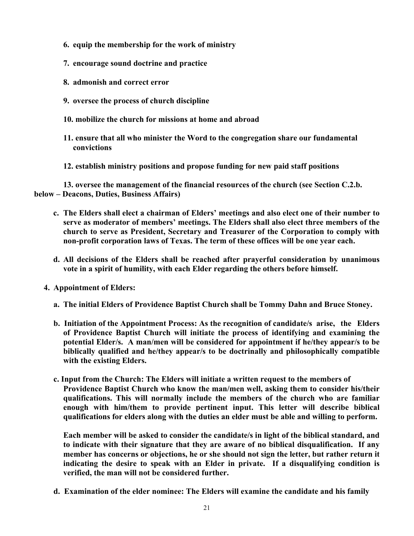- **6. equip the membership for the work of ministry**
- **7. encourage sound doctrine and practice**
- **8. admonish and correct error**
- **9. oversee the process of church discipline**
- **10. mobilize the church for missions at home and abroad**
- **11. ensure that all who minister the Word to the congregation share our fundamental convictions**
- **12. establish ministry positions and propose funding for new paid staff positions**

**13. oversee the management of the financial resources of the church (see Section C.2.b. below – Deacons, Duties, Business Affairs)**

- **c. The Elders shall elect a chairman of Elders' meetings and also elect one of their number to serve as moderator of members' meetings. The Elders shall also elect three members of the church to serve as President, Secretary and Treasurer of the Corporation to comply with non-profit corporation laws of Texas. The term of these offices will be one year each.**
- **d. All decisions of the Elders shall be reached after prayerful consideration by unanimous vote in a spirit of humility, with each Elder regarding the others before himself.**
- **4. Appointment of Elders:**
	- **a. The initial Elders of Providence Baptist Church shall be Tommy Dahn and Bruce Stoney.**
	- **b. Initiation of the Appointment Process: As the recognition of candidate/s arise, the Elders of Providence Baptist Church will initiate the process of identifying and examining the potential Elder/s. A man/men will be considered for appointment if he/they appear/s to be biblically qualified and he/they appear/s to be doctrinally and philosophically compatible with the existing Elders.**
	- **c. Input from the Church: The Elders will initiate a written request to the members of Providence Baptist Church who know the man/men well, asking them to consider his/their qualifications. This will normally include the members of the church who are familiar enough with him/them to provide pertinent input. This letter will describe biblical qualifications for elders along with the duties an elder must be able and willing to perform.**

**Each member will be asked to consider the candidate/s in light of the biblical standard, and to indicate with their signature that they are aware of no biblical disqualification. If any member has concerns or objections, he or she should not sign the letter, but rather return it indicating the desire to speak with an Elder in private. If a disqualifying condition is verified, the man will not be considered further.**

**d. Examination of the elder nominee: The Elders will examine the candidate and his family**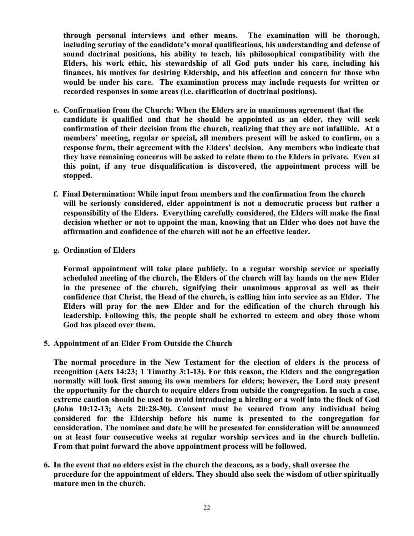**through personal interviews and other means. The examination will be thorough, including scrutiny of the candidate's moral qualifications, his understanding and defense of sound doctrinal positions, his ability to teach, his philosophical compatibility with the Elders, his work ethic, his stewardship of all God puts under his care, including his finances, his motives for desiring Eldership, and his affection and concern for those who would be under his care. The examination process may include requests for written or recorded responses in some areas (i.e. clarification of doctrinal positions).**

- **e. Confirmation from the Church: When the Elders are in unanimous agreement that the candidate is qualified and that he should be appointed as an elder, they will seek confirmation of their decision from the church, realizing that they are not infallible. At a members' meeting, regular or special, all members present will be asked to confirm, on a response form, their agreement with the Elders' decision. Any members who indicate that they have remaining concerns will be asked to relate them to the Elders in private. Even at this point, if any true disqualification is discovered, the appointment process will be stopped.**
- **f. Final Determination: While input from members and the confirmation from the church will be seriously considered, elder appointment is not a democratic process but rather a responsibility of the Elders. Everything carefully considered, the Elders will make the final decision whether or not to appoint the man, knowing that an Elder who does not have the affirmation and confidence of the church will not be an effective leader.**
- **g. Ordination of Elders**

**Formal appointment will take place publicly. In a regular worship service or specially scheduled meeting of the church, the Elders of the church will lay hands on the new Elder in the presence of the church, signifying their unanimous approval as well as their confidence that Christ, the Head of the church, is calling him into service as an Elder. The Elders will pray for the new Elder and for the edification of the church through his leadership. Following this, the people shall be exhorted to esteem and obey those whom God has placed over them.**

**5. Appointment of an Elder From Outside the Church**

**The normal procedure in the New Testament for the election of elders is the process of recognition (Acts 14:23; 1 Timothy 3:1-13). For this reason, the Elders and the congregation normally will look first among its own members for elders; however, the Lord may present the opportunity for the church to acquire elders from outside the congregation. In such a case, extreme caution should be used to avoid introducing a hireling or a wolf into the flock of God (John 10:12-13; Acts 20:28-30). Consent must be secured from any individual being considered for the Eldership before his name is presented to the congregation for consideration. The nominee and date he will be presented for consideration will be announced on at least four consecutive weeks at regular worship services and in the church bulletin. From that point forward the above appointment process will be followed.**

**6. In the event that no elders exist in the church the deacons, as a body, shall oversee the procedure for the appointment of elders. They should also seek the wisdom of other spiritually mature men in the church.**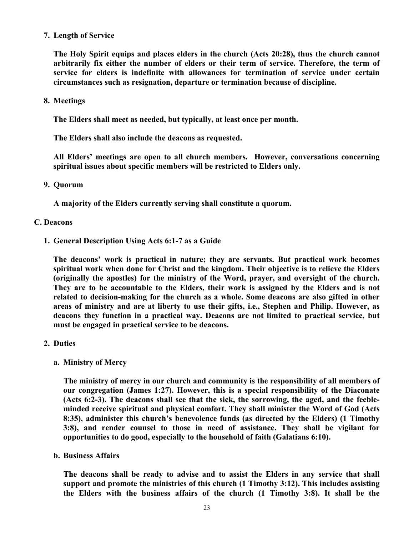## **7. Length of Service**

**The Holy Spirit equips and places elders in the church (Acts 20:28), thus the church cannot arbitrarily fix either the number of elders or their term of service. Therefore, the term of service for elders is indefinite with allowances for termination of service under certain circumstances such as resignation, departure or termination because of discipline.**

**8. Meetings**

**The Elders shall meet as needed, but typically, at least once per month.** 

**The Elders shall also include the deacons as requested.** 

**All Elders' meetings are open to all church members. However, conversations concerning spiritual issues about specific members will be restricted to Elders only.**

**9. Quorum**

**A majority of the Elders currently serving shall constitute a quorum.** 

#### **C. Deacons**

**1. General Description Using Acts 6:1-7 as a Guide**

**The deacons' work is practical in nature; they are servants. But practical work becomes spiritual work when done for Christ and the kingdom. Their objective is to relieve the Elders (originally the apostles) for the ministry of the Word, prayer, and oversight of the church. They are to be accountable to the Elders, their work is assigned by the Elders and is not related to decision-making for the church as a whole. Some deacons are also gifted in other areas of ministry and are at liberty to use their gifts, i.e., Stephen and Philip. However, as deacons they function in a practical way. Deacons are not limited to practical service, but must be engaged in practical service to be deacons.** 

- **2. Duties**
	- **a. Ministry of Mercy**

**The ministry of mercy in our church and community is the responsibility of all members of our congregation (James 1:27). However, this is a special responsibility of the Diaconate (Acts 6:2-3). The deacons shall see that the sick, the sorrowing, the aged, and the feebleminded receive spiritual and physical comfort. They shall minister the Word of God (Acts 8:35), administer this church's benevolence funds (as directed by the Elders) (1 Timothy 3:8), and render counsel to those in need of assistance. They shall be vigilant for opportunities to do good, especially to the household of faith (Galatians 6:10).**

**b. Business Affairs**

**The deacons shall be ready to advise and to assist the Elders in any service that shall support and promote the ministries of this church (1 Timothy 3:12). This includes assisting the Elders with the business affairs of the church (1 Timothy 3:8). It shall be the**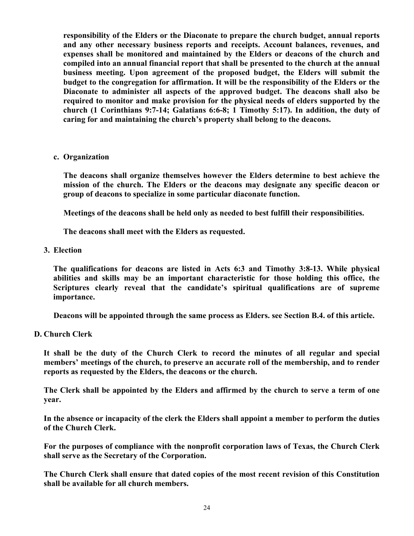**responsibility of the Elders or the Diaconate to prepare the church budget, annual reports and any other necessary business reports and receipts. Account balances, revenues, and expenses shall be monitored and maintained by the Elders or deacons of the church and compiled into an annual financial report that shall be presented to the church at the annual business meeting. Upon agreement of the proposed budget, the Elders will submit the budget to the congregation for affirmation. It will be the responsibility of the Elders or the Diaconate to administer all aspects of the approved budget. The deacons shall also be required to monitor and make provision for the physical needs of elders supported by the church (1 Corinthians 9:7-14; Galatians 6:6-8; 1 Timothy 5:17). In addition, the duty of caring for and maintaining the church's property shall belong to the deacons.**

**c. Organization**

**The deacons shall organize themselves however the Elders determine to best achieve the mission of the church. The Elders or the deacons may designate any specific deacon or group of deacons to specialize in some particular diaconate function.** 

**Meetings of the deacons shall be held only as needed to best fulfill their responsibilities.**

**The deacons shall meet with the Elders as requested.**

**3. Election**

**The qualifications for deacons are listed in Acts 6:3 and Timothy 3:8-13. While physical abilities and skills may be an important characteristic for those holding this office, the Scriptures clearly reveal that the candidate's spiritual qualifications are of supreme importance.** 

**Deacons will be appointed through the same process as Elders. see Section B.4. of this article.**

**D. Church Clerk**

**It shall be the duty of the Church Clerk to record the minutes of all regular and special members' meetings of the church, to preserve an accurate roll of the membership, and to render reports as requested by the Elders, the deacons or the church.**

**The Clerk shall be appointed by the Elders and affirmed by the church to serve a term of one year.** 

**In the absence or incapacity of the clerk the Elders shall appoint a member to perform the duties of the Church Clerk.**

**For the purposes of compliance with the nonprofit corporation laws of Texas, the Church Clerk shall serve as the Secretary of the Corporation.**

**The Church Clerk shall ensure that dated copies of the most recent revision of this Constitution shall be available for all church members.**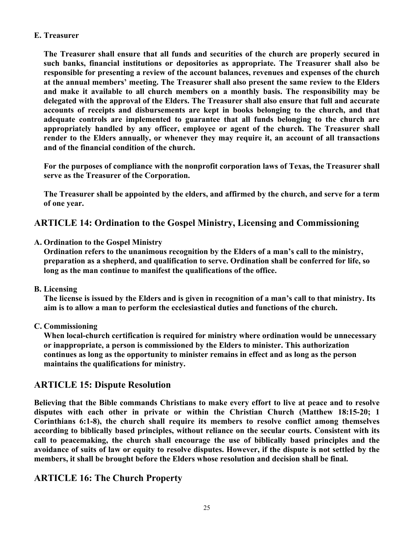# **E. Treasurer**

**The Treasurer shall ensure that all funds and securities of the church are properly secured in such banks, financial institutions or depositories as appropriate. The Treasurer shall also be responsible for presenting a review of the account balances, revenues and expenses of the church at the annual members' meeting. The Treasurer shall also present the same review to the Elders and make it available to all church members on a monthly basis. The responsibility may be delegated with the approval of the Elders. The Treasurer shall also ensure that full and accurate accounts of receipts and disbursements are kept in books belonging to the church, and that adequate controls are implemented to guarantee that all funds belonging to the church are appropriately handled by any officer, employee or agent of the church. The Treasurer shall render to the Elders annually, or whenever they may require it, an account of all transactions and of the financial condition of the church.**

**For the purposes of compliance with the nonprofit corporation laws of Texas, the Treasurer shall serve as the Treasurer of the Corporation.**

**The Treasurer shall be appointed by the elders, and affirmed by the church, and serve for a term of one year.**

# **ARTICLE 14: Ordination to the Gospel Ministry, Licensing and Commissioning**

**A. Ordination to the Gospel Ministry**

**Ordination refers to the unanimous recognition by the Elders of a man's call to the ministry, preparation as a shepherd, and qualification to serve. Ordination shall be conferred for life, so long as the man continue to manifest the qualifications of the office.**

**B. Licensing**

**The license is issued by the Elders and is given in recognition of a man's call to that ministry. Its aim is to allow a man to perform the ecclesiastical duties and functions of the church.**

**C. Commissioning**

**When local-church certification is required for ministry where ordination would be unnecessary or inappropriate, a person is commissioned by the Elders to minister. This authorization continues as long as the opportunity to minister remains in effect and as long as the person maintains the qualifications for ministry.**

# **ARTICLE 15: Dispute Resolution**

**Believing that the Bible commands Christians to make every effort to live at peace and to resolve disputes with each other in private or within the Christian Church (Matthew 18:15-20; 1 Corinthians 6:1-8), the church shall require its members to resolve conflict among themselves according to biblically based principles, without reliance on the secular courts. Consistent with its call to peacemaking, the church shall encourage the use of biblically based principles and the avoidance of suits of law or equity to resolve disputes. However, if the dispute is not settled by the members, it shall be brought before the Elders whose resolution and decision shall be final.**

# **ARTICLE 16: The Church Property**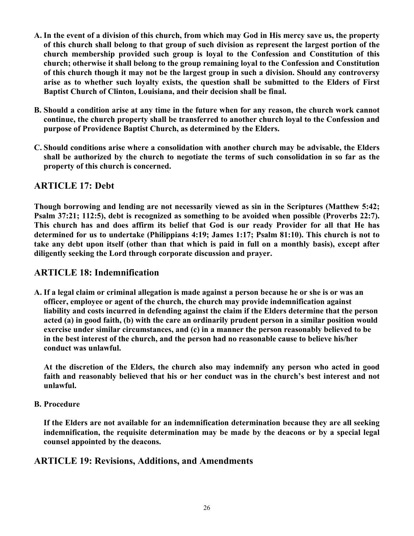- **A. In the event of a division of this church, from which may God in His mercy save us, the property of this church shall belong to that group of such division as represent the largest portion of the church membership provided such group is loyal to the Confession and Constitution of this church; otherwise it shall belong to the group remaining loyal to the Confession and Constitution of this church though it may not be the largest group in such a division. Should any controversy arise as to whether such loyalty exists, the question shall be submitted to the Elders of First Baptist Church of Clinton, Louisiana, and their decision shall be final.**
- **B. Should a condition arise at any time in the future when for any reason, the church work cannot continue, the church property shall be transferred to another church loyal to the Confession and purpose of Providence Baptist Church, as determined by the Elders.**
- **C. Should conditions arise where a consolidation with another church may be advisable, the Elders shall be authorized by the church to negotiate the terms of such consolidation in so far as the property of this church is concerned.**

# **ARTICLE 17: Debt**

**Though borrowing and lending are not necessarily viewed as sin in the Scriptures (Matthew 5:42; Psalm 37:21; 112:5), debt is recognized as something to be avoided when possible (Proverbs 22:7). This church has and does affirm its belief that God is our ready Provider for all that He has determined for us to undertake (Philippians 4:19; James 1:17; Psalm 81:10). This church is not to take any debt upon itself (other than that which is paid in full on a monthly basis), except after diligently seeking the Lord through corporate discussion and prayer.**

# **ARTICLE 18: Indemnification**

**A. If a legal claim or criminal allegation is made against a person because he or she is or was an officer, employee or agent of the church, the church may provide indemnification against liability and costs incurred in defending against the claim if the Elders determine that the person acted (a) in good faith, (b) with the care an ordinarily prudent person in a similar position would exercise under similar circumstances, and (c) in a manner the person reasonably believed to be in the best interest of the church, and the person had no reasonable cause to believe his/her conduct was unlawful.**

**At the discretion of the Elders, the church also may indemnify any person who acted in good faith and reasonably believed that his or her conduct was in the church's best interest and not unlawful.**

**B. Procedure**

**If the Elders are not available for an indemnification determination because they are all seeking indemnification, the requisite determination may be made by the deacons or by a special legal counsel appointed by the deacons.**

# **ARTICLE 19: Revisions, Additions, and Amendments**